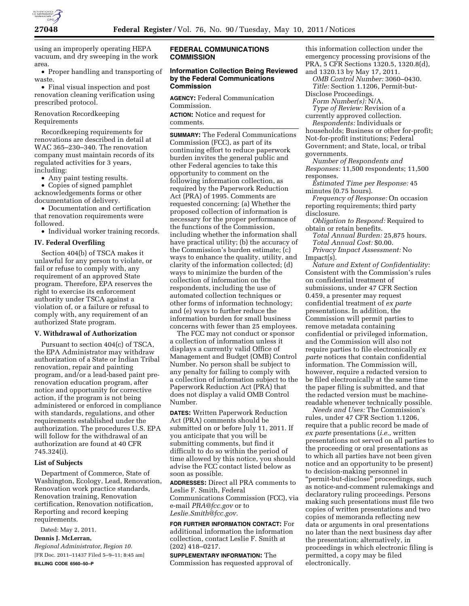

using an improperly operating HEPA vacuum, and dry sweeping in the work area.

• Proper handling and transporting of waste.

• Final visual inspection and post renovation cleaning verification using prescribed protocol.

## Renovation Recordkeeping Requirements

Recordkeeping requirements for renovations are described in detail at WAC 365–230–340. The renovation company must maintain records of its regulated activities for 3 years, including:

• Any paint testing results.

• Copies of signed pamphlet acknowledgements forms or other documentation of delivery.

• Documentation and certification that renovation requirements were followed.

• Individual worker training records.

## **IV. Federal Overfiling**

Section 404(b) of TSCA makes it unlawful for any person to violate, or fail or refuse to comply with, any requirement of an approved State program. Therefore, EPA reserves the right to exercise its enforcement authority under TSCA against a violation of, or a failure or refusal to comply with, any requirement of an authorized State program.

#### **V. Withdrawal of Authorization**

Pursuant to section 404(c) of TSCA, the EPA Administrator may withdraw authorization of a State or Indian Tribal renovation, repair and painting program, and/or a lead-based paint prerenovation education program, after notice and opportunity for corrective action, if the program is not being administered or enforced in compliance with standards, regulations, and other requirements established under the authorization. The procedures U.S. EPA will follow for the withdrawal of an authorization are found at 40 CFR 745.324(i).

#### **List of Subjects**

Department of Commerce, State of Washington, Ecology, Lead, Renovation, Renovation work practice standards, Renovation training, Renovation certification, Renovation notification, Reporting and record keeping requirements.

Dated: May 2, 2011. **Dennis J. McLerran,** 

*Regional Administrator, Region 10.*  [FR Doc. 2011–11437 Filed 5–9–11; 8:45 am] **BILLING CODE 6560–50–P** 

### **FEDERAL COMMUNICATIONS COMMISSION**

# **Information Collection Being Reviewed by the Federal Communications Commission**

**AGENCY:** Federal Communication Commission.

**ACTION:** Notice and request for comments.

**SUMMARY:** The Federal Communications Commission (FCC), as part of its continuing effort to reduce paperwork burden invites the general public and other Federal agencies to take this opportunity to comment on the following information collection, as required by the Paperwork Reduction Act (PRA) of 1995. Comments are requested concerning: (a) Whether the proposed collection of information is necessary for the proper performance of the functions of the Commission, including whether the information shall have practical utility; (b) the accuracy of the Commission's burden estimate; (c) ways to enhance the quality, utility, and clarity of the information collected; (d) ways to minimize the burden of the collection of information on the respondents, including the use of automated collection techniques or other forms of information technology; and (e) ways to further reduce the information burden for small business concerns with fewer than 25 employees.

The FCC may not conduct or sponsor a collection of information unless it displays a currently valid Office of Management and Budget (OMB) Control Number. No person shall be subject to any penalty for failing to comply with a collection of information subject to the Paperwork Reduction Act (PRA) that does not display a valid OMB Control Number.

**DATES:** Written Paperwork Reduction Act (PRA) comments should be submitted on or before July 11, 2011. If you anticipate that you will be submitting comments, but find it difficult to do so within the period of time allowed by this notice, you should advise the FCC contact listed below as soon as possible.

**ADDRESSES:** Direct all PRA comments to Leslie F. Smith, Federal Communications Commission (FCC), via e-mail *[PRA@fcc.gov](mailto:PRA@fcc.gov)* or to *[Leslie.Smith@fcc.gov.](mailto:Leslie.Smith@fcc.gov)* 

**FOR FURTHER INFORMATION CONTACT:** For additional information the information collection, contact Leslie F. Smith at (202) 418–0217.

**SUPPLEMENTARY INFORMATION:** The Commission has requested approval of

this information collection under the emergency processing provisions of the PRA, 5 CFR Sections 1320.5, 1320.8(d), and 1320.13 by May 17, 2011.

*OMB Control Number:* 3060–0430. *Title:* Section 1.1206, Permit-but-

Disclose Proceedings. *Form Number(s):* N/A.

*Type of Review:* Revision of a currently approved collection.

*Respondents:* Individuals or households; Business or other for-profit; Not-for-profit institutions; Federal Government; and State, local, or tribal governments.

*Number of Respondents and Responses:* 11,500 respondents; 11,500 responses.

*Estimated Time per Response:* 45 minutes (0.75 hours).

*Frequency of Response:* On occasion reporting requirements; third party disclosure.

*Obligation to Respond:* Required to obtain or retain benefits.

*Total Annual Burden:* 25,875 hours. *Total Annual Cost:* \$0.00. *Privacy Impact Assessment:* No

Impact(s).

*Nature and Extent of Confidentiality:*  Consistent with the Commission's rules on confidential treatment of submissions, under 47 CFR Section 0.459, a presenter may request confidential treatment of *ex parte*  presentations. In addition, the Commission will permit parties to remove metadata containing confidential or privileged information, and the Commission will also not require parties to file electronically *ex parte* notices that contain confidential information. The Commission will, however, require a redacted version to be filed electronically at the same time the paper filing is submitted, and that the redacted version must be machinereadable whenever technically possible.

*Needs and Uses:* The Commission's rules, under 47 CFR Section 1.1206, require that a public record be made of *ex parte* presentations (*i.e.,* written presentations not served on all parties to the proceeding or oral presentations as to which all parties have not been given notice and an opportunity to be present) to decision-making personnel in ''permit-but-disclose'' proceedings, such as notice-and-comment rulemakings and declaratory ruling proceedings. Persons making such presentations must file two copies of written presentations and two copies of memoranda reflecting new data or arguments in oral presentations no later than the next business day after the presentation; alternatively, in proceedings in which electronic filing is permitted, a copy may be filed electronically.